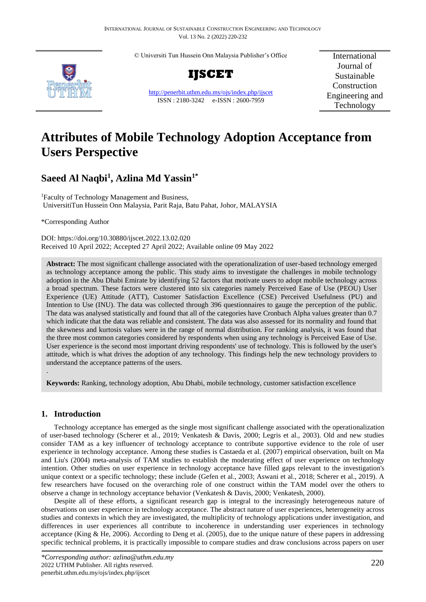© Universiti Tun Hussein Onn Malaysia Publisher's Office



**IJSCET**

<http://penerbit.uthm.edu.my/ojs/index.php/ijscet> ISSN : 2180-3242 e-ISSN : 2600-7959

International Journal of Sustainable Construction Engineering and Technology

# **Attributes of Mobile Technology Adoption Acceptance from Users Perspective**

# **Saeed Al Naqbi<sup>1</sup> , Azlina Md Yassin1\***

<sup>1</sup>Faculty of Technology Management and Business, UniversitiTun Hussein Onn Malaysia, Parit Raja, Batu Pahat, Johor, MALAYSIA

\*Corresponding Author

DOI: https://doi.org/10.30880/ijscet.2022.13.02.020 Received 10 April 2022; Accepted 27 April 2022; Available online 09 May 2022

**Abstract:** The most significant challenge associated with the operationalization of user-based technology emerged as technology acceptance among the public. This study aims to investigate the challenges in mobile technology adoption in the Abu Dhabi Emirate by identifying 52 factors that motivate users to adopt mobile technology across a broad spectrum. These factors were clustered into six categories namely Perceived Ease of Use (PEOU) User Experience (UE) Attitude (ATT), Customer Satisfaction Excellence (CSE) Perceived Usefulness (PU) and Intention to Use (INU). The data was collected through 396 questionnaires to gauge the perception of the public. The data was analysed statistically and found that all of the categories have Cronbach Alpha values greater than 0.7 which indicate that the data was reliable and consistent. The data was also assessed for its normality and found that the skewness and kurtosis values were in the range of normal distribution. For ranking analysis, it was found that the three most common categories considered by respondents when using any technology is Perceived Ease of Use. User experience is the second most important driving respondents' use of technology. This is followed by the user's attitude, which is what drives the adoption of any technology. This findings help the new technology providers to understand the acceptance patterns of the users. .

**Keywords:** Ranking, technology adoption, Abu Dhabi, mobile technology, customer satisfaction excellence

# **1. Introduction**

Technology acceptance has emerged as the single most significant challenge associated with the operationalization of user-based technology (Scherer et al., 2019; Venkatesh & Davis, 2000; Legris et al., 2003). Old and new studies consider TAM as a key influencer of technology acceptance to contribute supportive evidence to the role of user experience in technology acceptance. Among these studies is Castaeda et al. (2007) empirical observation, built on Ma and Liu's (2004) meta-analysis of TAM studies to establish the moderating effect of user experience on technology intention. Other studies on user experience in technology acceptance have filled gaps relevant to the investigation's unique context or a specific technology; these include (Gefen et al., 2003; Aswani et al., 2018; Scherer et al., 2019). A few researchers have focused on the overarching role of one construct within the TAM model over the others to observe a change in technology acceptance behavior (Venkatesh & Davis, 2000; Venkatesh, 2000).

Despite all of these efforts, a significant research gap is integral to the increasingly heterogeneous nature of observations on user experience in technology acceptance. The abstract nature of user experiences, heterogeneity across studies and contexts in which they are investigated, the multiplicity of technology applications under investigation, and differences in user experiences all contribute to incoherence in understanding user experiences in technology acceptance (King & He, 2006). According to Deng et al. (2005), due to the unique nature of these papers in addressing specific technical problems, it is practically impossible to compare studies and draw conclusions across papers on user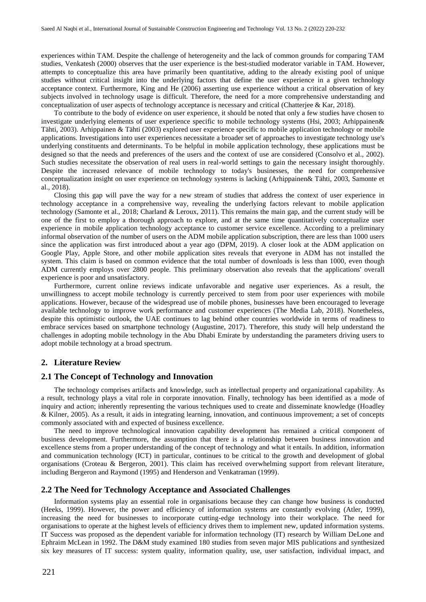experiences within TAM. Despite the challenge of heterogeneity and the lack of common grounds for comparing TAM studies, Venkatesh (2000) observes that the user experience is the best-studied moderator variable in TAM. However, attempts to conceptualize this area have primarily been quantitative, adding to the already existing pool of unique studies without critical insight into the underlying factors that define the user experience in a given technology acceptance context. Furthermore, King and He (2006) asserting use experience without a critical observation of key subjects involved in technology usage is difficult. Therefore, the need for a more comprehensive understanding and conceptualization of user aspects of technology acceptance is necessary and critical (Chatterjee & Kar, 2018).

To contribute to the body of evidence on user experience, it should be noted that only a few studies have chosen to investigate underlying elements of user experience specific to mobile technology systems (Hsi, 2003; Arhippainen& Tähti, 2003). Arhippainen & Tähti (2003) explored user experience specific to mobile application technology or mobile applications. Investigations into user experiences necessitate a broader set of approaches to investigate technology use's underlying constituents and determinants. To be helpful in mobile application technology, these applications must be designed so that the needs and preferences of the users and the context of use are considered (Consolvo et al., 2002). Such studies necessitate the observation of real users in real-world settings to gain the necessary insight thoroughly. Despite the increased relevance of mobile technology to today's businesses, the need for comprehensive conceptualization insight on user experience on technology systems is lacking (Arhippainen& Tähti, 2003, Samonte et al., 2018).

Closing this gap will pave the way for a new stream of studies that address the context of user experience in technology acceptance in a comprehensive way, revealing the underlying factors relevant to mobile application technology (Samonte et al., 2018; Charland & Leroux, 2011). This remains the main gap, and the current study will be one of the first to employ a thorough approach to explore, and at the same time quantitatively conceptualize user experience in mobile application technology acceptance to customer service excellence. According to a preliminary informal observation of the number of users on the ADM mobile application subscription, there are less than 1000 users since the application was first introduced about a year ago (DPM, 2019). A closer look at the ADM application on Google Play, Apple Store, and other mobile application sites reveals that everyone in ADM has not installed the system. This claim is based on common evidence that the total number of downloads is less than 1000, even though ADM currently employs over 2800 people. This preliminary observation also reveals that the applications' overall experience is poor and unsatisfactory.

Furthermore, current online reviews indicate unfavorable and negative user experiences. As a result, the unwillingness to accept mobile technology is currently perceived to stem from poor user experiences with mobile applications. However, because of the widespread use of mobile phones, businesses have been encouraged to leverage available technology to improve work performance and customer experiences (The Media Lab, 2018). Nonetheless, despite this optimistic outlook, the UAE continues to lag behind other countries worldwide in terms of readiness to embrace services based on smartphone technology (Augustine, 2017). Therefore, this study will help understand the challenges in adopting mobile technology in the Abu Dhabi Emirate by understanding the parameters driving users to adopt mobile technology at a broad spectrum.

#### **2. Literature Review**

#### **2.1 The Concept of Technology and Innovation**

The technology comprises artifacts and knowledge, such as intellectual property and organizational capability. As a result, technology plays a vital role in corporate innovation. Finally, technology has been identified as a mode of inquiry and action; inherently representing the various techniques used to create and disseminate knowledge (Hoadley & Kilner, 2005). As a result, it aids in integrating learning, innovation, and continuous improvement; a set of concepts commonly associated with and expected of business excellence.

The need to improve technological innovation capability development has remained a critical component of business development. Furthermore, the assumption that there is a relationship between business innovation and excellence stems from a proper understanding of the concept of technology and what it entails. In addition, information and communication technology (ICT) in particular, continues to be critical to the growth and development of global organisations (Croteau & Bergeron, 2001). This claim has received overwhelming support from relevant literature, including Bergeron and Raymond (1995) and Henderson and Venkatraman (1999).

#### **2.2 The Need for Technology Acceptance and Associated Challenges**

Information systems play an essential role in organisations because they can change how business is conducted (Heeks, 1999). However, the power and efficiency of information systems are constantly evolving (Atler, 1999), increasing the need for businesses to incorporate cutting-edge technology into their workplace. The need for organisations to operate at the highest levels of efficiency drives them to implement new, updated information systems. IT Success was proposed as the dependent variable for information technology (IT) research by William DeLone and Ephraim McLean in 1992. The D&M study examined 180 studies from seven major MIS publications and synthesized six key measures of IT success: system quality, information quality, use, user satisfaction, individual impact, and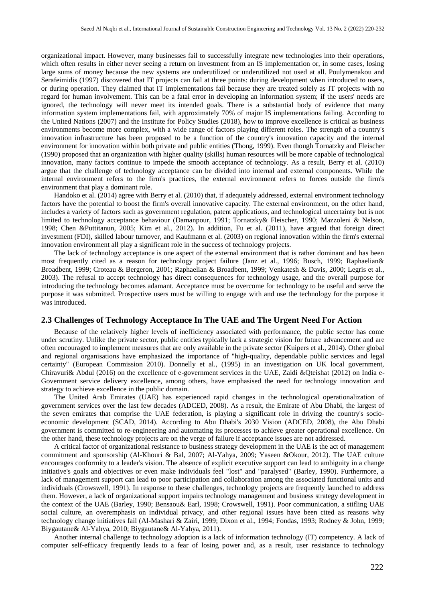organizational impact. However, many businesses fail to successfully integrate new technologies into their operations, which often results in either never seeing a return on investment from an IS implementation or, in some cases, losing large sums of money because the new systems are underutilized or underutilized not used at all. Poulymenakou and Serafeimidis (1997) discovered that IT projects can fail at three points: during development when introduced to users, or during operation. They claimed that IT implementations fail because they are treated solely as IT projects with no regard for human involvement. This can be a fatal error in developing an information system; if the users' needs are ignored, the technology will never meet its intended goals. There is a substantial body of evidence that many information system implementations fail, with approximately 70% of major IS implementations failing. According to the United Nations (2007) and the Institute for Policy Studies (2018), how to improve excellence is critical as business environments become more complex, with a wide range of factors playing different roles. The strength of a country's innovation infrastructure has been proposed to be a function of the country's innovation capacity and the internal environment for innovation within both private and public entities (Thong, 1999). Even though Tornatzky and Fleischer (1990) proposed that an organization with higher quality (skills) human resources will be more capable of technological innovation, many factors continue to impede the smooth acceptance of technology. As a result, Berry et al. (2010) argue that the challenge of technology acceptance can be divided into internal and external components. While the internal environment refers to the firm's practices, the external environment refers to forces outside the firm's environment that play a dominant role.

Handoko et al. (2014) agree with Berry et al. (2010) that, if adequately addressed, external environment technology factors have the potential to boost the firm's overall innovative capacity. The external environment, on the other hand, includes a variety of factors such as government regulation, patent applications, and technological uncertainty but is not limited to technology acceptance behaviour (Damanpour, 1991; Tornatzky& Fleischer, 1990; Mazzoleni & Nelson, 1998; Chen &Puttitanun, 2005; Kim et al., 2012). In addition, Fu et al. (2011), have argued that foreign direct investment (FDI), skilled labour turnover, and Kaufmann et al. (2003) on regional innovation within the firm's external innovation environment all play a significant role in the success of technology projects.

The lack of technology acceptance is one aspect of the external environment that is rather dominant and has been most frequently cited as a reason for technology project failure (Janz et al., 1996; Busch, 1999; Raphaelian& Broadbent, 1999; Croteau & Bergeron, 2001; Raphaelian & Broadbent, 1999; Venkatesh & Davis, 2000; Legris et al., 2003). The refusal to accept technology has direct consequences for technology usage, and the overall purpose for introducing the technology becomes adamant. Acceptance must be overcome for technology to be useful and serve the purpose it was submitted. Prospective users must be willing to engage with and use the technology for the purpose it was introduced.

#### **2.3 Challenges of Technology Acceptance In The UAE and The Urgent Need For Action**

Because of the relatively higher levels of inefficiency associated with performance, the public sector has come under scrutiny. Unlike the private sector, public entities typically lack a strategic vision for future advancement and are often encouraged to implement measures that are only available in the private sector (Kuipers et al., 2014). Other global and regional organisations have emphasized the importance of "high-quality, dependable public services and legal certainty" (European Commission 2010). Donnelly et al., (1995) in an investigation on UK local government, Chiravuri& Abdul (2016) on the excellence of e-government services in the UAE, Zaidi &Qteishat (2012) on India e-Government service delivery excellence, among others, have emphasised the need for technology innovation and strategy to achieve excellence in the public domain.

The United Arab Emirates (UAE) has experienced rapid changes in the technological operationalization of government services over the last few decades (ADCED, 2008). As a result, the Emirate of Abu Dhabi, the largest of the seven emirates that comprise the UAE federation, is playing a significant role in driving the country's socioeconomic development (SCAD, 2014). According to Abu Dhabi's 2030 Vision (ADCED, 2008), the Abu Dhabi government is committed to re-engineering and automating its processes to achieve greater operational excellence. On the other hand, these technology projects are on the verge of failure if acceptance issues are not addressed.

A critical factor of organizational resistance to business strategy development in the UAE is the act of management commitment and sponsorship (Al-Khouri & Bal, 2007; Al-Yahya, 2009; Yaseen &Okour, 2012). The UAE culture encourages conformity to a leader's vision. The absence of explicit executive support can lead to ambiguity in a change initiative's goals and objectives or even make individuals feel "lost" and "paralysed" (Barley, 1990). Furthermore, a lack of management support can lead to poor participation and collaboration among the associated functional units and individuals (Crowswell, 1991). In response to these challenges, technology projects are frequently launched to address them. However, a lack of organizational support impairs technology management and business strategy development in the context of the UAE (Barley, 1990; Bensaou& Earl, 1998; Crowswell, 1991). Poor communication, a stifling UAE social culture, an overemphasis on individual privacy, and other regional issues have been cited as reasons why technology change initiatives fail (Al-Mashari & Zairi, 1999; Dixon et al., 1994; Fondas, 1993; Rodney & John, 1999; Biygautane& Al-Yahya, 2010; Biygautane& Al-Yahya, 2011).

Another internal challenge to technology adoption is a lack of information technology (IT) competency. A lack of computer self-efficacy frequently leads to a fear of losing power and, as a result, user resistance to technology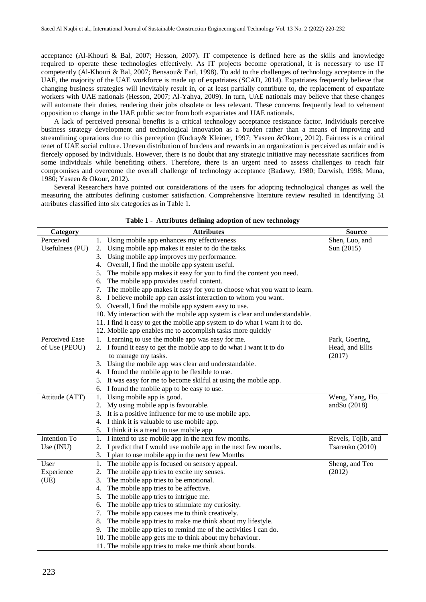acceptance (Al-Khouri & Bal, 2007; Hesson, 2007). IT competence is defined here as the skills and knowledge required to operate these technologies effectively. As IT projects become operational, it is necessary to use IT competently (Al-Khouri & Bal, 2007; Bensaou& Earl, 1998). To add to the challenges of technology acceptance in the UAE, the majority of the UAE workforce is made up of expatriates (SCAD, 2014). Expatriates frequently believe that changing business strategies will inevitably result in, or at least partially contribute to, the replacement of expatriate workers with UAE nationals (Hesson, 2007; Al-Yahya, 2009). In turn, UAE nationals may believe that these changes will automate their duties, rendering their jobs obsolete or less relevant. These concerns frequently lead to vehement opposition to change in the UAE public sector from both expatriates and UAE nationals.

A lack of perceived personal benefits is a critical technology acceptance resistance factor. Individuals perceive business strategy development and technological innovation as a burden rather than a means of improving and streamlining operations due to this perception (Kudray& Kleiner, 1997; Yaseen &Okour, 2012). Fairness is a critical tenet of UAE social culture. Uneven distribution of burdens and rewards in an organization is perceived as unfair and is fiercely opposed by individuals. However, there is no doubt that any strategic initiative may necessitate sacrifices from some individuals while benefiting others. Therefore, there is an urgent need to assess challenges to reach fair compromises and overcome the overall challenge of technology acceptance (Badawy, 1980; Darwish, 1998; Muna, 1980; Yaseen & Okour, 2012).

Several Researchers have pointed out considerations of the users for adopting technological changes as well the measuring the attributes defining customer satisfaction. Comprehensive literature review resulted in identifying 51 attributes classified into six categories as in Table 1.

| Category        | <b>Attributes</b>                                                           | <b>Source</b>      |
|-----------------|-----------------------------------------------------------------------------|--------------------|
| Perceived       | 1. Using mobile app enhances my effectiveness                               | Shen, Luo, and     |
| Usefulness (PU) | 2. Using mobile app makes it easier to do the tasks.                        | Sun (2015)         |
|                 | Using mobile app improves my performance.<br>3.                             |                    |
|                 | 4. Overall, I find the mobile app system useful.                            |                    |
|                 | The mobile app makes it easy for you to find the content you need.<br>5.    |                    |
|                 | The mobile app provides useful content.<br>6.                               |                    |
|                 | 7. The mobile app makes it easy for you to choose what you want to learn.   |                    |
|                 | 8. I believe mobile app can assist interaction to whom you want.            |                    |
|                 | 9. Overall, I find the mobile app system easy to use.                       |                    |
|                 | 10. My interaction with the mobile app system is clear and understandable.  |                    |
|                 | 11. I find it easy to get the mobile app system to do what I want it to do. |                    |
|                 | 12. Mobile app enables me to accomplish tasks more quickly                  |                    |
| Perceived Ease  | 1. Learning to use the mobile app was easy for me.                          | Park, Goering,     |
| of Use (PEOU)   | 2. I found it easy to get the mobile app to do what I want it to do         | Head, and Ellis    |
|                 | to manage my tasks.                                                         | (2017)             |
|                 | 3. Using the mobile app was clear and understandable.                       |                    |
|                 | 4. I found the mobile app to be flexible to use.                            |                    |
|                 | 5. It was easy for me to become skilful at using the mobile app.            |                    |
|                 | 6. I found the mobile app to be easy to use.                                |                    |
| Attitude (ATT)  | 1. Using mobile app is good.                                                | Weng, Yang, Ho,    |
|                 | 2. My using mobile app is favourable.                                       | and Su $(2018)$    |
|                 | 3. It is a positive influence for me to use mobile app.                     |                    |
|                 | 4. I think it is valuable to use mobile app.                                |                    |
|                 | 5. I think it is a trend to use mobile app                                  |                    |
| Intention To    | 1. I intend to use mobile app in the next few months.                       | Revels, Tojib, and |
| Use (INU)       | I predict that I would use mobile app in the next few months.<br>2.         | Tsarenko (2010)    |
|                 | 3. I plan to use mobile app in the next few Months                          |                    |
| User            | The mobile app is focused on sensory appeal.<br>1.                          | Sheng, and Teo     |
| Experience      | The mobile app tries to excite my senses.<br>2.                             | (2012)             |
| (UE)            | The mobile app tries to be emotional.<br>3.                                 |                    |
|                 | The mobile app tries to be affective.<br>4.                                 |                    |
|                 | The mobile app tries to intrigue me.<br>5.                                  |                    |
|                 | The mobile app tries to stimulate my curiosity.<br>6.                       |                    |
|                 | The mobile app causes me to think creatively.<br>7.                         |                    |
|                 | The mobile app tries to make me think about my lifestyle.<br>8.             |                    |
|                 | The mobile app tries to remind me of the activities I can do.<br>9.         |                    |
|                 | 10. The mobile app gets me to think about my behaviour.                     |                    |
|                 | 11. The mobile app tries to make me think about bonds.                      |                    |

|  |  |  |  |  | Table 1 - Attributes defining adoption of new technology |
|--|--|--|--|--|----------------------------------------------------------|
|--|--|--|--|--|----------------------------------------------------------|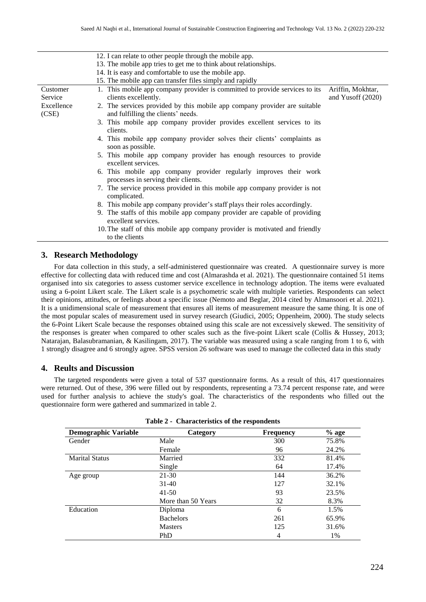|                     | 12. I can relate to other people through the mobile app.                                                                                        |
|---------------------|-------------------------------------------------------------------------------------------------------------------------------------------------|
|                     | 13. The mobile app tries to get me to think about relationships.                                                                                |
|                     | 14. It is easy and comfortable to use the mobile app.                                                                                           |
|                     | 15. The mobile app can transfer files simply and rapidly                                                                                        |
| Customer<br>Service | 1. This mobile app company provider is committed to provide services to its<br>Ariffin, Mokhtar,<br>clients excellently.<br>and Yusoff $(2020)$ |
| Excellence<br>(CSE) | 2. The services provided by this mobile app company provider are suitable<br>and fulfilling the clients' needs.                                 |
|                     | 3. This mobile app company provider provides excellent services to its<br>clients.                                                              |
|                     | 4. This mobile app company provider solves their clients' complaints as<br>soon as possible.                                                    |
|                     | 5. This mobile app company provider has enough resources to provide<br>excellent services.                                                      |
|                     | 6. This mobile app company provider regularly improves their work<br>processes in serving their clients.                                        |
|                     | 7. The service process provided in this mobile app company provider is not<br>complicated.                                                      |
|                     | 8. This mobile app company provider's staff plays their roles accordingly.                                                                      |
|                     | 9. The staffs of this mobile app company provider are capable of providing<br>excellent services.                                               |
|                     | 10. The staff of this mobile app company provider is motivated and friendly<br>to the clients                                                   |

#### **3. Research Methodology**

For data collection in this study, a self-administered questionnaire was created. A questionnaire survey is more effective for collecting data with reduced time and cost (Almarashda et al. 2021). The questionnaire contained 51 items organised into six categories to assess customer service excellence in technology adoption. The items were evaluated using a 6-point Likert scale. The Likert scale is a psychometric scale with multiple varieties. Respondents can select their opinions, attitudes, or feelings about a specific issue (Nemoto and Beglar, 2014 cited by Almansoori et al. 2021). It is a unidimensional scale of measurement that ensures all items of measurement measure the same thing. It is one of the most popular scales of measurement used in survey research (Giudici, 2005; Oppenheim, 2000). The study selects the 6-Point Likert Scale because the responses obtained using this scale are not excessively skewed. The sensitivity of the responses is greater when compared to other scales such as the five-point Likert scale (Collis & Hussey, 2013; Natarajan, Balasubramanian, & Kasilingam, 2017). The variable was measured using a scale ranging from 1 to 6, with 1 strongly disagree and 6 strongly agree. SPSS version 26 software was used to manage the collected data in this study

#### **4. Reults and Discussion**

The targeted respondents were given a total of 537 questionnaire forms. As a result of this, 417 questionnaires were returned. Out of these, 396 were filled out by respondents, representing a 73.74 percent response rate, and were used for further analysis to achieve the study's goal. The characteristics of the respondents who filled out the questionnaire form were gathered and summarized in table 2.

| <b>Demographic Variable</b> | Category           | <b>Frequency</b> | $%$ age |
|-----------------------------|--------------------|------------------|---------|
| Gender                      | Male               | 300              | 75.8%   |
|                             | Female             | 96               | 24.2%   |
| <b>Marital Status</b>       | Married            | 332              | 81.4%   |
|                             | Single             | 64               | 17.4%   |
| Age group                   | 21-30              | 144              | 36.2%   |
|                             | $31-40$            | 127              | 32.1%   |
|                             | $41 - 50$          | 93               | 23.5%   |
|                             | More than 50 Years | 32               | 8.3%    |
| Education                   | Diploma            | 6                | 1.5%    |
|                             | <b>Bachelors</b>   | 261              | 65.9%   |
|                             | <b>Masters</b>     | 125              | 31.6%   |
|                             | PhD                | 4                | 1%      |

|  | Table 2 - Characteristics of the respondents |  |  |
|--|----------------------------------------------|--|--|
|--|----------------------------------------------|--|--|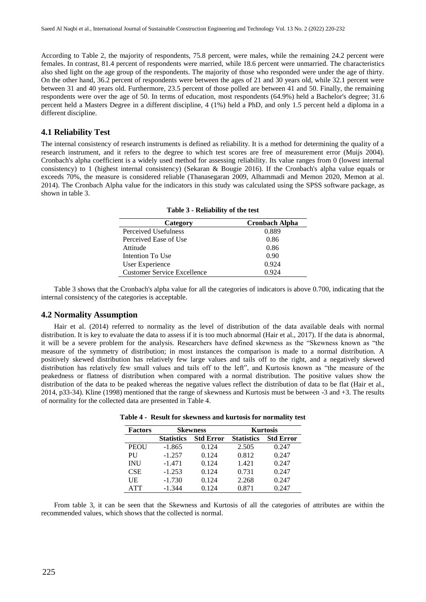According to Table 2, the majority of respondents, 75.8 percent, were males, while the remaining 24.2 percent were females. In contrast, 81.4 percent of respondents were married, while 18.6 percent were unmarried. The characteristics also shed light on the age group of the respondents. The majority of those who responded were under the age of thirty. On the other hand, 36.2 percent of respondents were between the ages of 21 and 30 years old, while 32.1 percent were between 31 and 40 years old. Furthermore, 23.5 percent of those polled are between 41 and 50. Finally, the remaining respondents were over the age of 50. In terms of education, most respondents (64.9%) held a Bachelor's degree; 31.6 percent held a Masters Degree in a different discipline, 4 (1%) held a PhD, and only 1.5 percent held a diploma in a different discipline.

## **4.1 Reliability Test**

The internal consistency of research instruments is defined as reliability. It is a method for determining the quality of a research instrument, and it refers to the degree to which test scores are free of measurement error (Muijs 2004). Cronbach's alpha coefficient is a widely used method for assessing reliability. Its value ranges from 0 (lowest internal consistency) to 1 (highest internal consistency) (Sekaran & Bougie 2016). If the Cronbach's alpha value equals or exceeds 70%, the measure is considered reliable (Thanasegaran 2009, Alhammadi and Memon 2020, Memon at al. 2014). The Cronbach Alpha value for the indicators in this study was calculated using the SPSS software package, as shown in table 3.

| Category                           | <b>Cronbach Alpha</b> |
|------------------------------------|-----------------------|
| Perceived Usefulness               | 0.889                 |
| Perceived Ease of Use              | 0.86                  |
| Attitude                           | 0.86                  |
| Intention To Use                   | 0.90                  |
| User Experience                    | 0.924                 |
| <b>Customer Service Excellence</b> | 0.924                 |

**Table 3 - Reliability of the test**

Table 3 shows that the Cronbach's alpha value for all the categories of indicators is above 0.700, indicating that the internal consistency of the categories is acceptable.

#### **4.2 Normality Assumption**

Hair et al. (2014) referred to normality as the level of distribution of the data available deals with normal distribution. It is key to evaluate the data to assess if it is too much abnormal (Hair et al., 2017). If the data is abnormal, it will be a severe problem for the analysis. Researchers have defined skewness as the "Skewness known as "the measure of the symmetry of distribution; in most instances the comparison is made to a normal distribution. A positively skewed distribution has relatively few large values and tails off to the right, and a negatively skewed distribution has relatively few small values and tails off to the left", and Kurtosis known as "the measure of the peakedness or flatness of distribution when compared with a normal distribution. The positive values show the distribution of the data to be peaked whereas the negative values reflect the distribution of data to be flat (Hair et al., 2014, p33-34). Kline (1998) mentioned that the range of skewness and Kurtosis must be between -3 and +3. The results of normality for the collected data are presented in Table 4.

| <b>Factors</b> | <b>Skewness</b>   |                  | <b>Kurtosis</b>   |                  |  |
|----------------|-------------------|------------------|-------------------|------------------|--|
|                | <b>Statistics</b> | <b>Std Error</b> | <b>Statistics</b> | <b>Std Error</b> |  |
| <b>PEOU</b>    | $-1.865$          | 0.124            | 2.505             | 0.247            |  |
| PU             | $-1.257$          | 0.124            | 0.812             | 0.247            |  |
| <b>INU</b>     | $-1.471$          | 0.124            | 1.421             | 0.247            |  |
| <b>CSE</b>     | $-1.253$          | 0.124            | 0.731             | 0.247            |  |
| UE             | $-1.730$          | 0.124            | 2.268             | 0.247            |  |
| <b>ATT</b>     | $-1.344$          | 0.124            | 0.871             | 0.247            |  |

**Table 4 - Result for skewness and kurtosis for normality test**

From table 3, it can be seen that the Skewness and Kurtosis of all the categories of attributes are within the recommended values, which shows that the collected is normal.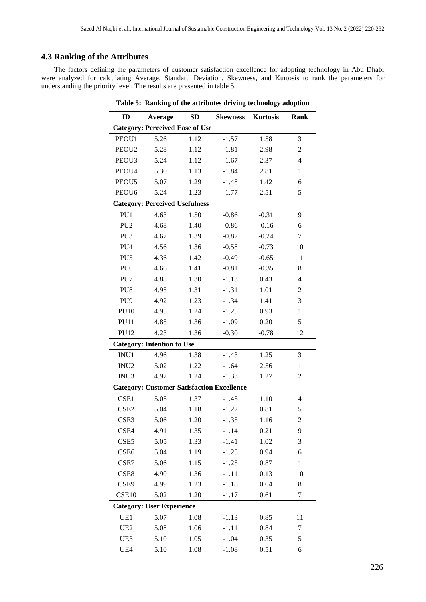## **4.3 Ranking of the Attributes**

The factors defining the parameters of customer satisfaction excellence for adopting technology in Abu Dhabi were analyzed for calculating Average, Standard Deviation, Skewness, and Kurtosis to rank the parameters for understanding the priority level. The results are presented in table 5.

| ID                | Average                                           | SD   | <b>Skewness</b> | <b>Kurtosis</b> | <b>Rank</b>              |
|-------------------|---------------------------------------------------|------|-----------------|-----------------|--------------------------|
|                   | <b>Category: Perceived Ease of Use</b>            |      |                 |                 |                          |
| PEOU1             | 5.26                                              | 1.12 | $-1.57$         | 1.58            | 3                        |
| PEOU <sub>2</sub> | 5.28                                              | 1.12 | $-1.81$         | 2.98            | $\overline{c}$           |
| PEOU3             | 5.24                                              | 1.12 | $-1.67$         | 2.37            | $\overline{\mathcal{L}}$ |
| PEOU4             | 5.30                                              | 1.13 | $-1.84$         | 2.81            | $\mathbf{1}$             |
| PEOU5             | 5.07                                              | 1.29 | $-1.48$         | 1.42            | 6                        |
| PEOU <sub>6</sub> | 5.24                                              | 1.23 | $-1.77$         | 2.51            | 5                        |
|                   | <b>Category: Perceived Usefulness</b>             |      |                 |                 |                          |
| PU1               | 4.63                                              | 1.50 | $-0.86$         | $-0.31$         | 9                        |
| PU <sub>2</sub>   | 4.68                                              | 1.40 | $-0.86$         | $-0.16$         | 6                        |
| PU <sub>3</sub>   | 4.67                                              | 1.39 | $-0.82$         | $-0.24$         | 7                        |
| PU4               | 4.56                                              | 1.36 | $-0.58$         | $-0.73$         | 10                       |
| PU <sub>5</sub>   | 4.36                                              | 1.42 | $-0.49$         | $-0.65$         | 11                       |
| PU <sub>6</sub>   | 4.66                                              | 1.41 | $-0.81$         | $-0.35$         | 8                        |
| PU7               | 4.88                                              | 1.30 | $-1.13$         | 0.43            | $\overline{\mathcal{L}}$ |
| PU8               | 4.95                                              | 1.31 | $-1.31$         | 1.01            | $\overline{c}$           |
| PU <sub>9</sub>   | 4.92                                              | 1.23 | $-1.34$         | 1.41            | 3                        |
| <b>PU10</b>       | 4.95                                              | 1.24 | $-1.25$         | 0.93            | $\mathbf{1}$             |
| <b>PU11</b>       | 4.85                                              | 1.36 | $-1.09$         | 0.20            | 5                        |
| <b>PU12</b>       | 4.23                                              | 1.36 | $-0.30$         | $-0.78$         | 12                       |
|                   | <b>Category: Intention to Use</b>                 |      |                 |                 |                          |
| INU1              | 4.96                                              | 1.38 | $-1.43$         | 1.25            | 3                        |
| INU <sub>2</sub>  | 5.02                                              | 1.22 | $-1.64$         | 2.56            | $\,1\,$                  |
| INU3              | 4.97                                              | 1.24 | $-1.33$         | 1.27            | $\overline{c}$           |
|                   | <b>Category: Customer Satisfaction Excellence</b> |      |                 |                 |                          |
| CSE1              | 5.05                                              | 1.37 | $-1.45$         | 1.10            | $\overline{4}$           |
| CSE <sub>2</sub>  | 5.04                                              | 1.18 | $-1.22$         | 0.81            | 5                        |
| CSE3              | 5.06                                              | 1.20 | $-1.35$         | 1.16            | $\overline{c}$           |
| CSE4              | 4.91                                              | 1.35 | $-1.14$         | 0.21            | 9                        |
| CSE <sub>5</sub>  | 5.05                                              | 1.33 | $-1.41$         | 1.02            | 3                        |
| CSE <sub>6</sub>  | 5.04                                              | 1.19 | $-1.25$         | 0.94            | 6                        |
| CSE7              | 5.06                                              | 1.15 | $-1.25$         | 0.87            | $\mathbf{1}$             |
| CSE8              | 4.90                                              | 1.36 | $-1.11$         | 0.13            | 10                       |
| CSE9              | 4.99                                              | 1.23 | $-1.18$         | 0.64            | 8                        |
| CSE10             | 5.02                                              | 1.20 | $-1.17$         | 0.61            | $\boldsymbol{7}$         |
|                   | <b>Category: User Experience</b>                  |      |                 |                 |                          |
| UE1               | 5.07                                              | 1.08 | $-1.13$         | 0.85            | 11                       |
| UE <sub>2</sub>   | 5.08                                              | 1.06 | $-1.11$         | 0.84            | 7                        |
| UE3               | 5.10                                              | 1.05 | $-1.04$         | 0.35            | 5                        |
| UE4               | 5.10                                              | 1.08 | $-1.08$         | 0.51            | 6                        |

**Table 5: Ranking of the attributes driving technology adoption**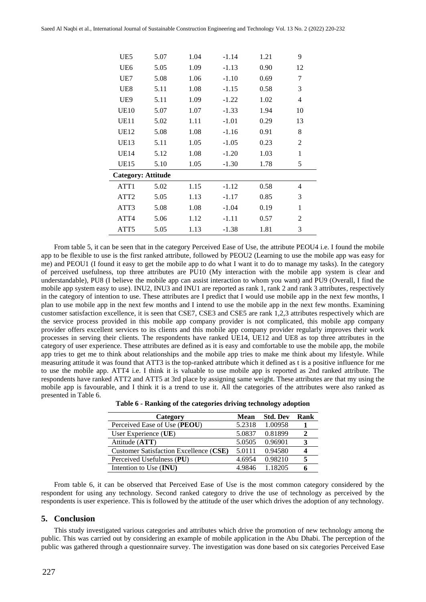| UE5                       | 5.07 | 1.04 | $-1.14$ | 1.21 | 9              |
|---------------------------|------|------|---------|------|----------------|
| UE <sub>6</sub>           | 5.05 | 1.09 | $-1.13$ | 0.90 | 12             |
| UE7                       | 5.08 | 1.06 | $-1.10$ | 0.69 | 7              |
| UE8                       | 5.11 | 1.08 | $-1.15$ | 0.58 | 3              |
| UE9                       | 5.11 | 1.09 | $-1.22$ | 1.02 | 4              |
| <b>UE10</b>               | 5.07 | 1.07 | $-1.33$ | 1.94 | 10             |
| UE11                      | 5.02 | 1.11 | $-1.01$ | 0.29 | 13             |
| <b>UE12</b>               | 5.08 | 1.08 | $-1.16$ | 0.91 | 8              |
| <b>UE13</b>               | 5.11 | 1.05 | $-1.05$ | 0.23 | $\overline{2}$ |
| <b>UE14</b>               | 5.12 | 1.08 | $-1.20$ | 1.03 | 1              |
| <b>UE15</b>               | 5.10 | 1.05 | $-1.30$ | 1.78 | 5              |
| <b>Category: Attitude</b> |      |      |         |      |                |
| ATT1                      | 5.02 | 1.15 | $-1.12$ | 0.58 | 4              |
| ATT <sub>2</sub>          | 5.05 | 1.13 | $-1.17$ | 0.85 | 3              |
| ATT3                      | 5.08 | 1.08 | $-1.04$ | 0.19 | 1              |
| ATT4                      | 5.06 | 1.12 | $-1.11$ | 0.57 | $\overline{2}$ |
| ATT5                      | 5.05 | 1.13 | $-1.38$ | 1.81 | 3              |

From table 5, it can be seen that in the category Perceived Ease of Use, the attribute PEOU4 i.e. I found the mobile app to be flexible to use is the first ranked attribute, followed by PEOU2 (Learning to use the mobile app was easy for me) and PEOU1 (I found it easy to get the mobile app to do what I want it to do to manage my tasks). In the category of perceived usefulness, top three attributes are PU10 (My interaction with the mobile app system is clear and understandable), PU8 (I believe the mobile app can assist interaction to whom you want) and PU9 (Overall, I find the mobile app system easy to use). INU2, INU3 and INU1 are reported as rank 1, rank 2 and rank 3 attributes, respectively in the category of intention to use. These attributes are I predict that I would use mobile app in the next few months, I plan to use mobile app in the next few months and I intend to use the mobile app in the next few months. Examining customer satisfaction excellence, it is seen that CSE7, CSE3 and CSE5 are rank 1,2,3 attributes respectively which are the service process provided in this mobile app company provider is not complicated, this mobile app company provider offers excellent services to its clients and this mobile app company provider regularly improves their work processes in serving their clients. The respondents have ranked UE14, UE12 and UE8 as top three attributes in the category of user experience. These attributes are defined as it is easy and comfortable to use the mobile app, the mobile app tries to get me to think about relationships and the mobile app tries to make me think about my lifestyle. While measuring attitude it was found that ATT3 is the top-ranked attribute which it defined as t is a positive influence for me to use the mobile app. ATT4 i.e. I think it is valuable to use mobile app is reported as 2nd ranked attribute. The respondents have ranked ATT2 and ATT5 at 3rd place by assigning same weight. These attributes are that my using the mobile app is favourable, and I think it is a trend to use it. All the categories of the attributes were also ranked as presented in Table 6.

| Category                               | Mean   | <b>Std. Dev</b> | Rank |
|----------------------------------------|--------|-----------------|------|
| Perceived Ease of Use (PEOU)           | 5.2318 | 1.00958         |      |
| User Experience (UE)                   | 5.0837 | 0.81899         |      |
| Attitude (ATT)                         | 5.0505 | 0.96901         |      |
| Customer Satisfaction Excellence (CSE) | 5.0111 | 0.94580         |      |
| Perceived Usefulness (PU)              | 4.6954 | 0.98210         |      |
| Intention to Use (INU)                 | 4 9846 | 1 18205         |      |

**Table 6 - Ranking of the categories driving technology adoption**

From table 6, it can be observed that Perceived Ease of Use is the most common category considered by the respondent for using any technology. Second ranked category to drive the use of technology as perceived by the respondents is user experience. This is followed by the attitude of the user which drives the adoption of any technology.

#### **5. Conclusion**

This study investigated various categories and attributes which drive the promotion of new technology among the public. This was carried out by considering an example of mobile application in the Abu Dhabi. The perception of the public was gathered through a questionnaire survey. The investigation was done based on six categories Perceived Ease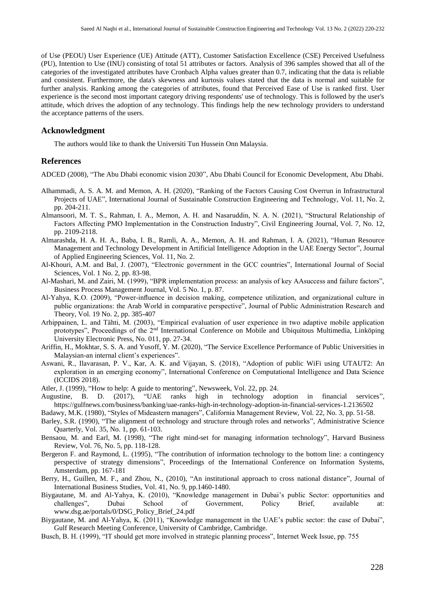of Use (PEOU) User Experience (UE) Attitude (ATT), Customer Satisfaction Excellence (CSE) Perceived Usefulness (PU), Intention to Use (INU) consisting of total 51 attributes or factors. Analysis of 396 samples showed that all of the categories of the investigated attributes have Cronbach Alpha values greater than 0.7, indicating that the data is reliable and consistent. Furthermore, the data's skewness and kurtosis values stated that the data is normal and suitable for further analysis. Ranking among the categories of attributes, found that Perceived Ease of Use is ranked first. User experience is the second most important category driving respondents' use of technology. This is followed by the user's attitude, which drives the adoption of any technology. This findings help the new technology providers to understand the acceptance patterns of the users.

#### **Acknowledgment**

The authors would like to thank the Universiti Tun Hussein Onn Malaysia.

#### **References**

ADCED (2008), "The Abu Dhabi economic vision 2030", Abu Dhabi Council for Economic Development, Abu Dhabi.

- Alhammadi, A. S. A. M. and Memon, A. H. (2020), "Ranking of the Factors Causing Cost Overrun in Infrastructural Projects of UAE", International Journal of Sustainable Construction Engineering and Technology, Vol. 11, No. 2, pp. 204-211.
- Almansoori, M. T. S., Rahman, I. A., Memon, A. H. and Nasaruddin, N. A. N. (2021), "Structural Relationship of Factors Affecting PMO Implementation in the Construction Industry", Civil Engineering Journal, Vol. 7, No. 12, pp. 2109-2118.
- Almarashda, H. A. H. A., Baba, I. B., Ramli, A. A., Memon, A. H. and Rahman, I. A. (2021), "Human Resource Management and Technology Development in Artificial Intelligence Adoption in the UAE Energy Sector", Journal of Applied Engineering Sciences, Vol. 11, No. 2.
- Al-Khouri, A.M. and Bal, J. (2007), "Electronic government in the GCC countries", International Journal of Social Sciences, Vol. 1 No. 2, pp. 83-98.
- Al-Mashari, M. and Zairi, M. (1999), "BPR implementation process: an analysis of key AAsuccess and failure factors", Business Process Management Journal, Vol. 5 No. 1, p. 87.
- Al-Yahya, K.O. (2009), "Power-influence in decision making, competence utilization, and organizational culture in public organizations: the Arab World in comparative perspective", Journal of Public Administration Research and Theory, Vol. 19 No. 2, pp. 385-407
- Arhippainen, L. and Tähti, M. (2003), "Empirical evaluation of user experience in two adaptive mobile application prototypes", Proceedings of the 2nd International Conference on Mobile and Ubiquitous Multimedia, Linköping University Electronic Press, No. 011, pp. 27-34.
- Ariffin, H., Mokhtar, S. S. A. and Yusoff, Y. M. (2020), "The Service Excellence Performance of Public Universities in Malaysian-an internal client's experiences".
- Aswani, R., Ilavarasan, P. V., Kar, A. K. and Vijayan, S. (2018), "Adoption of public WiFi using UTAUT2: An exploration in an emerging economy", International Conference on Computational Intelligence and Data Science (ICCIDS 2018).
- Atler, J. (1999), "How to help: A guide to mentoring", Newsweek, Vol. 22, pp. 24.
- Augustine, B. D. (2017), "UAE ranks high in technology adoption in financial services", https://gulfnews.com/business/banking/uae-ranks-high-in-technology-adoption-in-financial-services-1.2136502
- Badawy, M.K. (1980), "Styles of Mideastern managers", California Management Review, Vol. 22, No. 3, pp. 51-58.
- Barley, S.R. (1990), "The alignment of technology and structure through roles and networks", Administrative Science Quarterly, Vol. 35, No. 1, pp. 61-103.
- Bensaou, M. and Earl, M. (1998), "The right mind-set for managing information technology", Harvard Business Review, Vol. 76, No. 5, pp. 118-128.
- Bergeron F. and Raymond, L. (1995), "The contribution of information technology to the bottom line: a contingency perspective of strategy dimensions", Proceedings of the International Conference on Information Systems, Amsterdam, pp. 167-181
- Berry, H., Guillen, M. F., and Zhou, N., (2010), "An institutional approach to cross national distance", Journal of International Business Studies, Vol. 41, No. 9, pp.1460-1480.
- Biygautane, M. and Al-Yahya, K. (2010), "Knowledge management in Dubai's public Sector: opportunities and challenges", Dubai School of Government, Policy Brief, available at: www.dsg.ae/portals/0/DSG\_Policy\_Brief\_24.pdf
- Biygautane, M. and Al-Yahya, K. (2011), "Knowledge management in the UAE's public sector: the case of Dubai", Gulf Research Meeting Conference, University of Cambridge, Cambridge.
- Busch, B. H. (1999), "IT should get more involved in strategic planning process", Internet Week Issue, pp. 755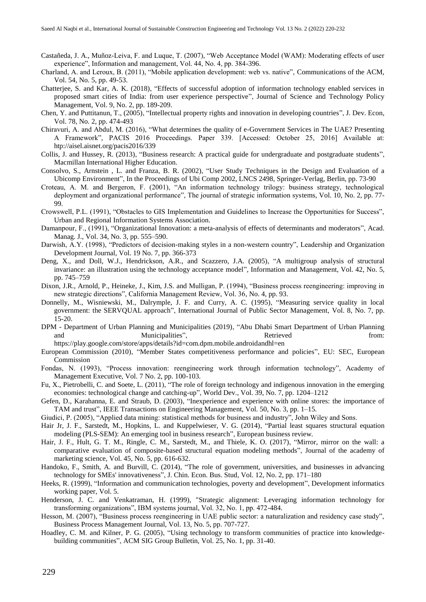- Castañeda, J. A., Muñoz-Leiva, F. and Luque, T. (2007), "Web Acceptance Model (WAM): Moderating effects of user experience", Information and management, Vol. 44, No. 4, pp. 384-396.
- Charland, A. and Leroux, B. (2011), "Mobile application development: web vs. native", Communications of the ACM, Vol. 54, No. 5, pp. 49-53.
- Chatterjee, S. and Kar, A. K. (2018), "Effects of successful adoption of information technology enabled services in proposed smart cities of India: from user experience perspective", Journal of Science and Technology Policy Management, Vol. 9, No. 2, pp. 189-209.
- Chen, Y. and Puttitanun, T., (2005), "Intellectual property rights and innovation in developing countries", J. Dev. Econ, Vol. 78, No. 2, pp. 474-493
- Chiravuri, A. and Abdul, M. (2016), "What determines the quality of e-Government Services in The UAE? Presenting A Framework", PACIS 2016 Proceedings. Paper 339. [Accessed: October 25, 2016] Available at: htp://aisel.aisnet.org/pacis2016/339
- Collis, J. and Hussey, R. (2013), "Business research: A practical guide for undergraduate and postgraduate students", Macmillan International Higher Education.
- Consolvo, S., Arnstein , L. and Franza, B. R. (2002), "User Study Techniques in the Design and Evaluation of a Ubicomp Environment", In the Proceedings of Ubi Comp 2002, LNCS 2498, Springer-Verlag, Berlin, pp. 73-90
- Croteau, A. M. and Bergeron, F. (2001), "An information technology trilogy: business strategy, technological deployment and organizational performance", The journal of strategic information systems, Vol. 10, No. 2, pp. 77-99.
- Crowswell, P.L. (1991), "Obstacles to GIS Implementation and Guidelines to Increase the Opportunities for Success", Urban and Regional Information Systems Association.
- Damanpour, F., (1991), "Organizational Innovation: a meta-analysis of effects of determinants and moderators", Acad. Manag. J., Vol. 34, No. 3, pp. 555–590.
- Darwish, A.Y. (1998), "Predictors of decision-making styles in a non-western country", Leadership and Organization Development Journal, Vol. 19 No. 7, pp. 366-373
- Deng, X., and Doll, W.J., Hendrickson, A.R., and Scazzero, J.A. (2005), "A multigroup analysis of structural invariance: an illustration using the technology acceptance model", Information and Management, Vol. 42, No. 5, pp. 745–759
- Dixon, J.R., Arnold, P., Heineke, J., Kim, J.S. and Mulligan, P. (1994), "Business process reengineering: improving in new strategic directions", California Management Review, Vol. 36, No. 4, pp. 93.
- Donnelly, M., Wisniewski, M., Dalrymple, J. F. and Curry, A. C. (1995), "Measuring service quality in local government: the SERVQUAL approach", International Journal of Public Sector Management, Vol. 8, No. 7, pp. 15-20.
- DPM Department of Urban Planning and Municipalities (2019), "Abu Dhabi Smart Department of Urban Planning and Municipalities", Retrieved Retrieved from:

https://play.google.com/store/apps/details?id=com.dpm.mobile.androidandhl=en

- European Commission (2010), "Member States competitiveness performance and policies", EU: SEC, European Commission
- Fondas, N. (1993), "Process innovation: reengineering work through information technology", Academy of Management Executive, Vol. 7 No. 2, pp. 100-103.
- Fu, X., Pietrobelli, C. and Soete, L. (2011), "The role of foreign technology and indigenous innovation in the emerging economies: technological change and catching-up", World Dev., Vol. 39, No. 7, pp. 1204–1212
- Gefen, D., Karahanna, E. and Straub, D. (2003), "Inexperience and experience with online stores: the importance of TAM and trust", IEEE Transactions on Engineering Management, Vol. 50, No. 3, pp. 1–15.
- Giudici, P. (2005), "Applied data mining: statistical methods for business and industry", John Wiley and Sons.
- Hair Jr, J. F., Sarstedt, M., Hopkins, L. and Kuppelwieser, V. G. (2014), "Partial least squares structural equation modeling (PLS-SEM): An emerging tool in business research", European business review.
- Hair, J. F., Hult, G. T. M., Ringle, C. M., Sarstedt, M., and Thiele, K. O. (2017), "Mirror, mirror on the wall: a comparative evaluation of composite-based structural equation modeling methods", Journal of the academy of marketing science, Vol. 45, No. 5, pp. 616-632.
- Handoko, F., Smith, A. and Burvill, C. (2014), "The role of government, universities, and businesses in advancing technology for SMEs' innovativeness", J. Chin. Econ. Bus. Stud, Vol. 12, No. 2, pp. 171–180
- Heeks, R. (1999), "Information and communication technologies, poverty and development", Development informatics working paper, Vol. 5.
- Henderson, J. C. and Venkatraman, H. (1999), "Strategic alignment: Leveraging information technology for transforming organizations", IBM systems journal, Vol. 32, No. 1, pp. 472-484.
- Hesson, M. (2007), "Business process reengineering in UAE public sector: a naturalization and residency case study", Business Process Management Journal, Vol. 13, No. 5, pp. 707-727.
- Hoadley, C. M. and Kilner, P. G. (2005), "Using technology to transform communities of practice into knowledgebuilding communities", ACM SIG Group Bulletin, Vol. 25, No. 1, pp. 31-40.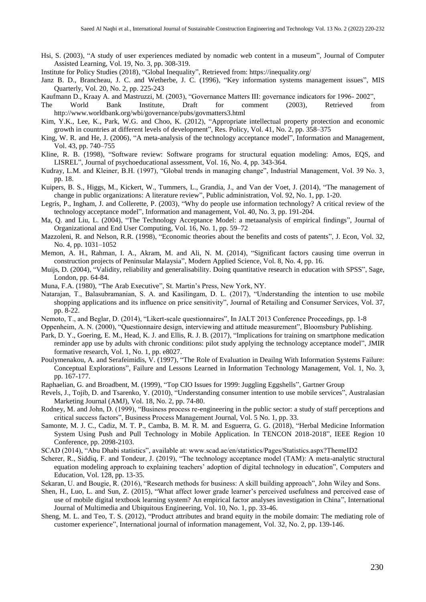- Hsi, S. (2003), "A study of user experiences mediated by nomadic web content in a museum", Journal of Computer Assisted Learning, Vol. 19, No. 3, pp. 308-319.
- Institute for Policy Studies (2018), "Global Inequality", Retrieved from: https://inequality.org/
- Janz B. D., Brancheau, J. C. and Wetherbe, J. C. (1996), "Key information systems management issues", MIS Quarterly, Vol. 20, No. 2, pp. 225-243
- Kaufmann D., Kraay A. and Mastruzzi, M. (2003), "Governance Matters III: governance indicators for 1996- 2002",
- The World Bank Institute, Draft for comment (2003), Retrieved from http://www.worldbank.org/wbi/governance/pubs/govmatters3.html
- Kim, Y.K., Lee, K., Park, W.G. and Choo, K. (2012), "Appropriate intellectual property protection and economic growth in countries at different levels of development", Res. Policy, Vol. 41, No. 2, pp. 358–375
- King, W. R. and He, J. (2006), "A meta-analysis of the technology acceptance model", Information and Management, Vol. 43, pp. 740–755
- Kline, R. B. (1998), "Software review: Software programs for structural equation modeling: Amos, EQS, and LISREL", Journal of psychoeducational assessment, Vol. 16, No. 4, pp. 343-364.
- Kudray, L.M. and Kleiner, B.H. (1997), "Global trends in managing change", Industrial Management, Vol. 39 No. 3, pp. 18.
- Kuipers, B. S., Higgs, M., Kickert, W., Tummers, L., Grandia, J., and Van der Voet, J. (2014), "The management of change in public organizations: A literature review", Public administration, Vol. 92, No. 1, pp. 1-20.
- Legris, P., Ingham, J. and Collerette, P. (2003), "Why do people use information technology? A critical review of the technology acceptance model", Information and management, Vol. 40, No. 3, pp. 191-204.
- Ma, Q. and Liu, L. (2004), "The Technology Acceptance Model: a metaanalysis of empirical findings", Journal of Organizational and End User Computing, Vol. 16, No. 1, pp. 59–72
- Mazzoleni, R. and Nelson, R.R. (1998), "Economic theories about the benefits and costs of patents", J. Econ, Vol. 32, No. 4, pp. 1031–1052
- Memon, A. H., Rahman, I. A., Akram, M. and Ali, N. M. (2014), "Significant factors causing time overrun in construction projects of Peninsular Malaysia", Modern Applied Science, Vol. 8, No. 4, pp. 16.
- Muijs, D. (2004), "Validity, reliability and generalisability. Doing quantitative research in education with SPSS", Sage, London, pp. 64-84.
- Muna, F.A. (1980), "The Arab Executive", St. Martin's Press, New York, NY.
- Natarajan, T., Balasubramanian, S. A. and Kasilingam, D. L. (2017), "Understanding the intention to use mobile shopping applications and its influence on price sensitivity", Journal of Retailing and Consumer Services, Vol. 37, pp. 8-22.
- Nemoto, T., and Beglar, D. (2014), "Likert-scale questionnaires", In JALT 2013 Conference Proceedings, pp. 1-8
- Oppenheim, A. N. (2000), "Questionnaire design, interviewing and attitude measurement", Bloomsbury Publishing.
- Park, D. Y., Goering, E. M., Head, K. J. and Ellis, R. J. B. (2017), "Implications for training on smartphone medication reminder app use by adults with chronic conditions: pilot study applying the technology acceptance model", JMIR formative research, Vol. 1, No. 1, pp. e8027.
- Poulymenakou, A. and Serafeimidis, V. (1997), "The Role of Evaluation in Deailng With Information Systems Failure: Conceptual Explorations", Failure and Lessons Learned in Information Technology Management, Vol. 1, No. 3, pp. 167-177.
- Raphaelian, G. and Broadbent, M. (1999), "Top CIO Issues for 1999: Juggling Eggshells", Gartner Group
- Revels, J., Tojib, D. and Tsarenko, Y. (2010), "Understanding consumer intention to use mobile services", Australasian Marketing Journal (AMJ), Vol. 18, No. 2, pp. 74-80.
- Rodney, M. and John, D. (1999), "Business process re-engineering in the public sector: a study of staff perceptions and critical success factors", Business Process Management Journal, Vol. 5 No. 1, pp. 33.
- Samonte, M. J. C., Cadiz, M. T. P., Camba, B. M. R. M. and Esguerra, G. G. (2018), "Herbal Medicine Information System Using Push and Pull Technology in Mobile Application. In TENCON 2018-2018", IEEE Region 10 Conference, pp. 2098-2103.
- SCAD (2014), "Abu Dhabi statistics", available at: www.scad.ae/en/statistics/Pages/Statistics.aspx?ThemeID2
- Scherer, R., Siddiq, F. and Tondeur, J. (2019), "The technology acceptance model (TAM): A meta-analytic structural equation modeling approach to explaining teachers' adoption of digital technology in education", Computers and Education, Vol. 128, pp. 13-35.
- Sekaran, U. and Bougie, R. (2016), "Research methods for business: A skill building approach", John Wiley and Sons.
- Shen, H., Luo, L. and Sun, Z. (2015), "What affect lower grade learner's perceived usefulness and perceived ease of use of mobile digital textbook learning system? An empirical factor analyses investigation in China", International Journal of Multimedia and Ubiquitous Engineering, Vol. 10, No. 1, pp. 33-46.
- Sheng, M. L. and Teo, T. S. (2012), "Product attributes and brand equity in the mobile domain: The mediating role of customer experience", International journal of information management, Vol. 32, No. 2, pp. 139-146.